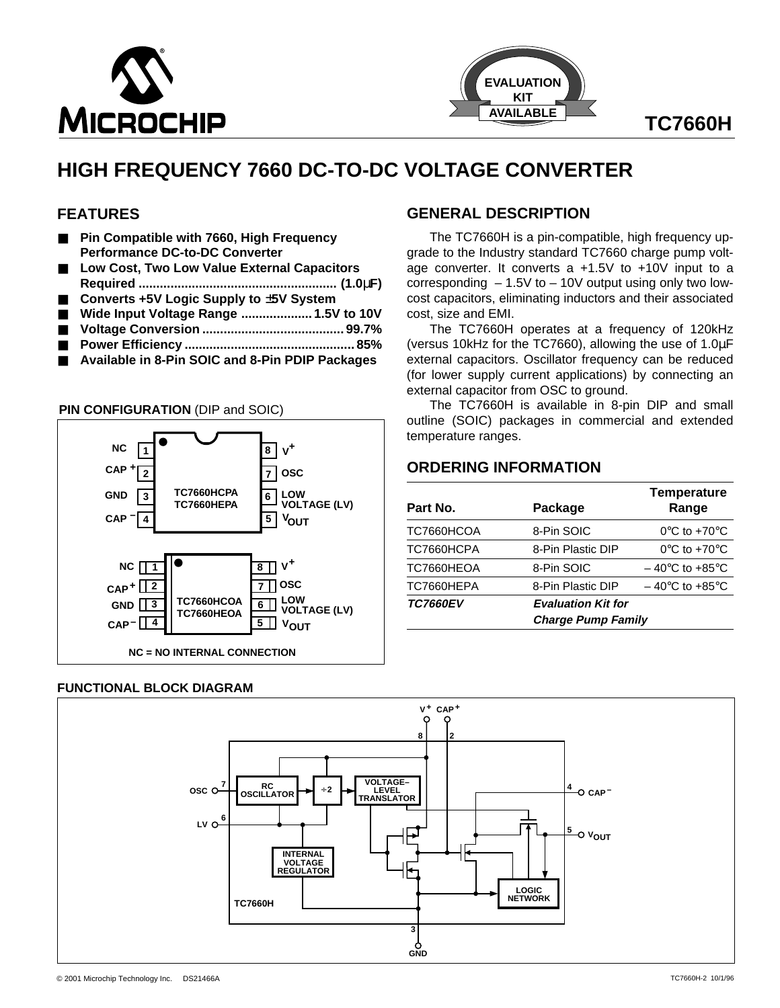



### **FEATURES**

- **Pin Compatible with 7660, High Frequency Performance DC-to-DC Converter**
- Low Cost, Two Low Value External Capacitors
- **Required ........................................................ (1.0**µ**F)**
- **Converts +5V Logic Supply to** ±**5V System**
- Wide Input Voltage Range ..................... 1.5V to 10V
- **Voltage Conversion ........................................ 99.7%** ■ **Power Efficiency ................................................ 85%**
- Available in 8-Pin SOIC and 8-Pin PDIP Packages



#### **FUNCTIONAL BLOCK DIAGRAM**

## **GENERAL DESCRIPTION**

The TC7660H is a pin-compatible, high frequency upgrade to the Industry standard TC7660 charge pump voltage converter. It converts a +1.5V to +10V input to a corresponding  $-1.5V$  to  $-10V$  output using only two lowcost capacitors, eliminating inductors and their associated cost, size and EMI.

The TC7660H operates at a frequency of 120kHz (versus 10kHz for the TC7660), allowing the use of 1.0µF external capacitors. Oscillator frequency can be reduced (for lower supply current applications) by connecting an external capacitor from OSC to ground.

The TC7660H is available in 8-pin DIP and small outline (SOIC) packages in commercial and extended temperature ranges.

### **ORDERING INFORMATION**

| Part No.        | Package                   | <b>Temperature</b><br>Range        |  |
|-----------------|---------------------------|------------------------------------|--|
| TC7660HCOA      | 8-Pin SOIC                | $0^{\circ}$ C to +70 $^{\circ}$ C  |  |
| TC7660HCPA      | 8-Pin Plastic DIP         | $0^{\circ}$ C to +70 $^{\circ}$ C  |  |
| TC7660HEOA      | 8-Pin SOIC                | $-40^{\circ}$ C to $+85^{\circ}$ C |  |
| TC7660HEPA      | 8-Pin Plastic DIP         | $-40^{\circ}$ C to $+85^{\circ}$ C |  |
| <b>TC7660EV</b> | <b>Evaluation Kit for</b> |                                    |  |
|                 | <b>Charge Pump Family</b> |                                    |  |

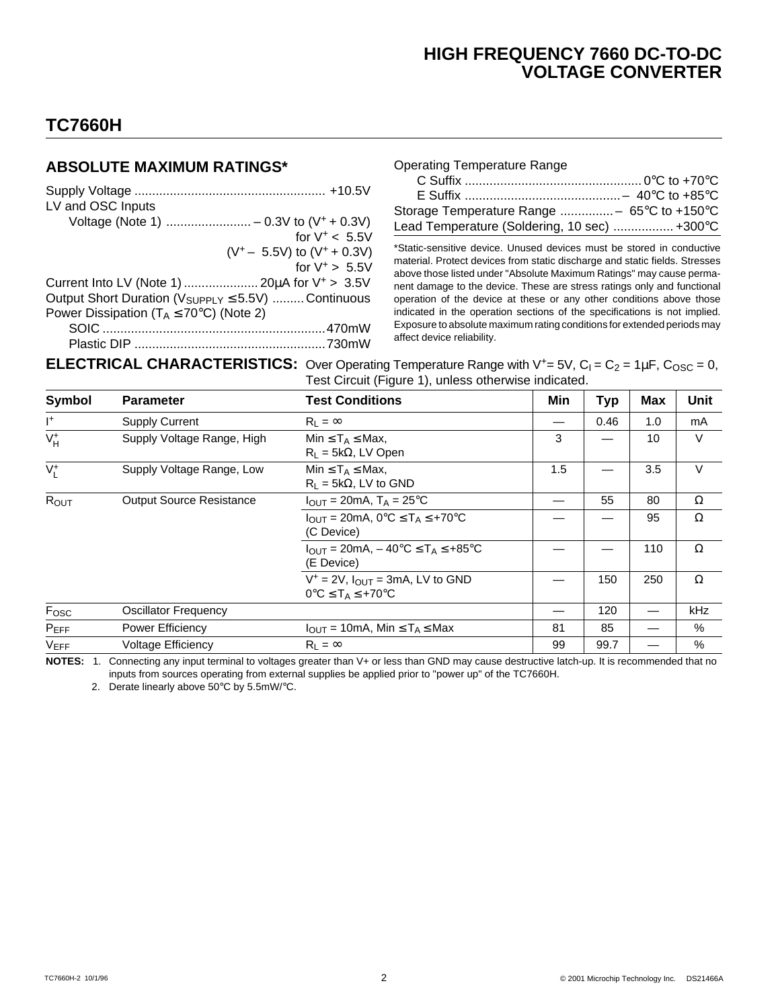# **TC7660H**

### **ABSOLUTE MAXIMUM RATINGS\***

| LV and OSC Inputs                                                   |
|---------------------------------------------------------------------|
|                                                                     |
| for $V^* < 5.5V$                                                    |
| $(V^+ - 5.5V)$ to $(V^+ + 0.3V)$                                    |
| for $V^+ > 5.5V$                                                    |
| Current Into LV (Note 1)  20µA for V <sup>+</sup> > 3.5V            |
| Output Short Duration ( $V_{\text{SUPPLY}} \leq 5.5V$ )  Continuous |
| Power Dissipation ( $T_A \le 70^{\circ}$ C) (Note 2)                |
|                                                                     |
|                                                                     |

|  | <b>Operating Temperature Range</b> |  |
|--|------------------------------------|--|
|--|------------------------------------|--|

| Lead Temperature (Soldering, 10 sec)  +300°C |  |
|----------------------------------------------|--|

\*Static-sensitive device. Unused devices must be stored in conductive material. Protect devices from static discharge and static fields. Stresses above those listed under "Absolute Maximum Ratings" may cause permanent damage to the device. These are stress ratings only and functional operation of the device at these or any other conditions above those indicated in the operation sections of the specifications is not implied. Exposure to absolute maximum rating conditions for extended periods may affect device reliability.

**ELECTRICAL CHARACTERISTICS:** Over Operating Temperature Range with  $V^+= 5V$ ,  $C_1 = C_2 = 1 \mu F$ ,  $C_{\text{OSC}} = 0$ , Test Circuit (Figure 1), unless otherwise indicated.

| Symbol         | <b>Parameter</b>                | <b>Test Conditions</b>                                                                             | Min | <b>Typ</b> | <b>Max</b> | Unit     |
|----------------|---------------------------------|----------------------------------------------------------------------------------------------------|-----|------------|------------|----------|
| $\mathsf{I}^+$ | <b>Supply Current</b>           | $R_1 = \infty$                                                                                     |     | 0.46       | 1.0        | mA       |
| $V_H^+$        | Supply Voltage Range, High      | Min $\leq$ T <sub>A</sub> $\leq$ Max,<br>$R_L = 5k\Omega$ , LV Open                                | 3   |            | 10         | V        |
| $V_I^+$        | Supply Voltage Range, Low       | Min $\leq$ T <sub>A</sub> $\leq$ Max,<br>$R_L = 5k\Omega$ , LV to GND                              | 1.5 |            | 3.5        | $\vee$   |
| ROUT           | <b>Output Source Resistance</b> | $I_{\text{OUT}}$ = 20mA, T <sub>A</sub> = 25 <sup>o</sup> C                                        |     | 55         | 80         | $\Omega$ |
|                |                                 | $I_{\text{OUT}} = 20 \text{mA}, 0^{\circ}\text{C} \leq T_A \leq +70^{\circ}\text{C}$<br>(C Device) |     |            | 95         | $\Omega$ |
|                |                                 | $I_{OUT} = 20mA$ , $- 40^{\circ}C \leq T_A \leq +85^{\circ}C$<br>(E Device)                        |     |            | 110        | $\Omega$ |
|                |                                 | $V^+$ = 2V, $I_{OUT}$ = 3mA, LV to GND<br>$0^{\circ}C \leq T_A \leq +70^{\circ}C$                  |     | 150        | 250        | $\Omega$ |
| Fosc           | <b>Oscillator Frequency</b>     |                                                                                                    |     | 120        |            | kHz      |
| $P_{EFF}$      | <b>Power Efficiency</b>         | $I_{\text{OUT}} = 10 \text{mA}$ , Min $\leq T_A \leq \text{Max}$                                   | 81  | 85         |            | %        |
| <b>VEFF</b>    | <b>Voltage Efficiency</b>       | $R_1 = \infty$                                                                                     | 99  | 99.7       |            | %        |

**NOTES:** 1. Connecting any input terminal to voltages greater than V+ or less than GND may cause destructive latch-up. It is recommended that no inputs from sources operating from external supplies be applied prior to "power up" of the TC7660H.

2. Derate linearly above 50°C by 5.5mW/°C.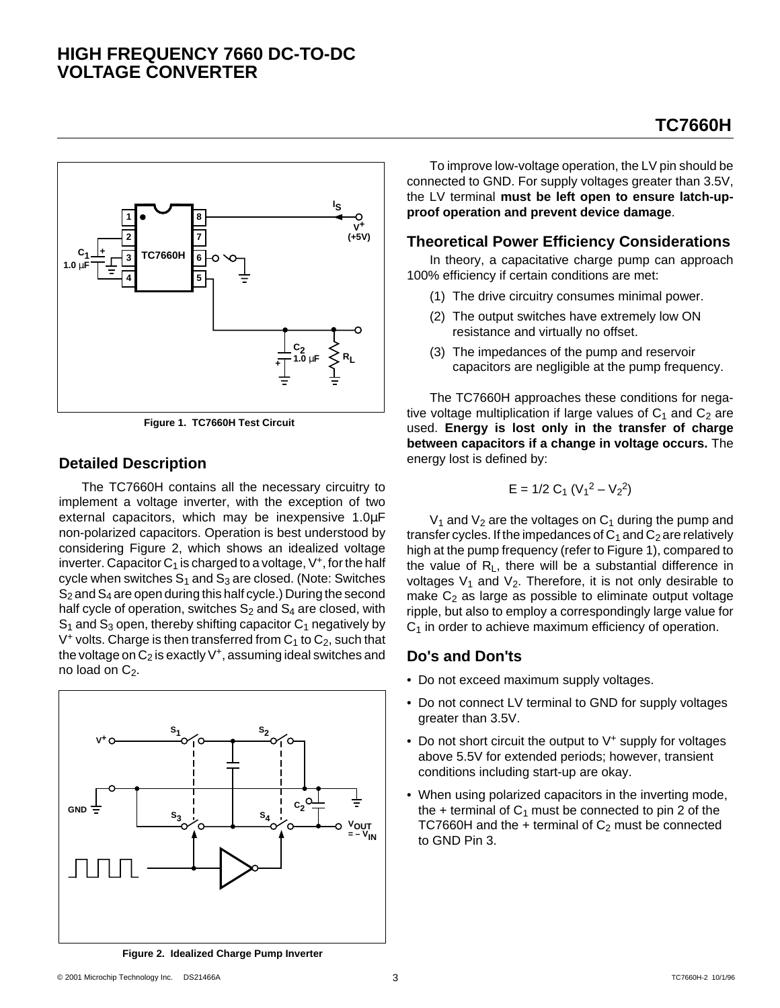#### **1 2 3 4 8 7 6 5 TC7660H <sup>+</sup> V+ (+5V) C1 1.0** µ**F + C2 1.0** µ**F RL I S**

**Figure 1. TC7660H Test Circuit**

### **Detailed Description**

The TC7660H contains all the necessary circuitry to implement a voltage inverter, with the exception of two external capacitors, which may be inexpensive 1.0µF non-polarized capacitors. Operation is best understood by considering Figure 2, which shows an idealized voltage inverter. Capacitor  $C_1$  is charged to a voltage,  $V^+$ , for the half cycle when switches  $S_1$  and  $S_3$  are closed. (Note: Switches  $S_2$  and  $S_4$  are open during this half cycle.) During the second half cycle of operation, switches  $S_2$  and  $S_4$  are closed, with  $S_1$  and  $S_3$  open, thereby shifting capacitor  $C_1$  negatively by  $V^+$  volts. Charge is then transferred from  $C_1$  to  $C_2$ , such that the voltage on  $C_2$  is exactly  $V^+$ , assuming ideal switches and no load on  $C_2$ .



To improve low-voltage operation, the LV pin should be connected to GND. For supply voltages greater than 3.5V, the LV terminal **must be left open to ensure latch-upproof operation and prevent device damage**.

**TC7660H**

#### **Theoretical Power Efficiency Considerations**

In theory, a capacitative charge pump can approach 100% efficiency if certain conditions are met:

- (1) The drive circuitry consumes minimal power.
- (2) The output switches have extremely low ON resistance and virtually no offset.
- (3) The impedances of the pump and reservoir capacitors are negligible at the pump frequency.

The TC7660H approaches these conditions for negative voltage multiplication if large values of  $C_1$  and  $C_2$  are used. **Energy is lost only in the transfer of charge between capacitors if a change in voltage occurs.** The energy lost is defined by:

$$
E = 1/2 C_1 (V_1^2 - V_2^2)
$$

 $V_1$  and  $V_2$  are the voltages on  $C_1$  during the pump and transfer cycles. If the impedances of  $C_1$  and  $C_2$  are relatively high at the pump frequency (refer to Figure 1), compared to the value of RL, there will be a substantial difference in voltages  $V_1$  and  $V_2$ . Therefore, it is not only desirable to make  $C_2$  as large as possible to eliminate output voltage ripple, but also to employ a correspondingly large value for  $C_1$  in order to achieve maximum efficiency of operation.

### **Do's and Don'ts**

- Do not exceed maximum supply voltages.
- Do not connect LV terminal to GND for supply voltages greater than 3.5V.
- Do not short circuit the output to V<sup>+</sup> supply for voltages above 5.5V for extended periods; however, transient conditions including start-up are okay.
- When using polarized capacitors in the inverting mode, the  $+$  terminal of  $C_1$  must be connected to pin 2 of the TC7660H and the  $+$  terminal of  $C_2$  must be connected to GND Pin 3.

**Figure 2. Idealized Charge Pump Inverter**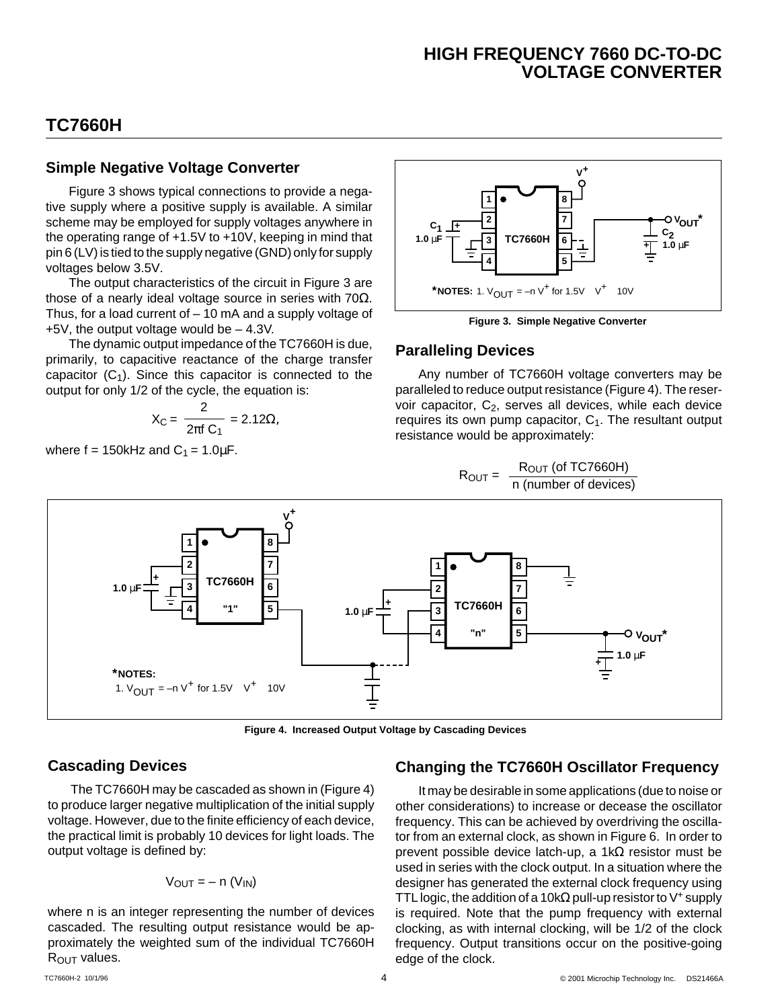### **TC7660H**

#### **Simple Negative Voltage Converter**

Figure 3 shows typical connections to provide a negative supply where a positive supply is available. A similar scheme may be employed for supply voltages anywhere in the operating range of +1.5V to +10V, keeping in mind that pin 6 (LV) is tied to the supply negative (GND) only for supply voltages below 3.5V.

The output characteristics of the circuit in Figure 3 are those of a nearly ideal voltage source in series with  $70\Omega$ . Thus, for a load current of  $-10$  mA and a supply voltage of +5V, the output voltage would be – 4.3V.

The dynamic output impedance of the TC7660H is due, primarily, to capacitive reactance of the charge transfer capacitor  $(C_1)$ . Since this capacitor is connected to the output for only 1/2 of the cycle, the equation is:

$$
X_{C} = \frac{2}{2\pi f C_{1}} = 2.12\Omega,
$$

where  $f = 150$ kHz and  $C_1 = 1.0 \mu F$ .



**Figure 3. Simple Negative Converter**

#### **Paralleling Devices**

Any number of TC7660H voltage converters may be paralleled to reduce output resistance (Figure 4). The reservoir capacitor, C<sub>2</sub>, serves all devices, while each device requires its own pump capacitor,  $C_1$ . The resultant output resistance would be approximately:

$$
R_{OUT} = \frac{R_{OUT} (of TC7660H)}{n (number of devices)}
$$



**Figure 4. Increased Output Voltage by Cascading Devices**

#### **Cascading Devices**

The TC7660H may be cascaded as shown in (Figure 4) to produce larger negative multiplication of the initial supply voltage. However, due to the finite efficiency of each device, the practical limit is probably 10 devices for light loads. The output voltage is defined by:

$$
V_{OUT} = - n (V_{IN})
$$

where n is an integer representing the number of devices cascaded. The resulting output resistance would be approximately the weighted sum of the individual TC7660H R<sub>OUT</sub> values.

### **Changing the TC7660H Oscillator Frequency**

It may be desirable in some applications (due to noise or other considerations) to increase or decease the oscillator frequency. This can be achieved by overdriving the oscillator from an external clock, as shown in Figure 6. In order to prevent possible device latch-up, a 1kΩ resistor must be used in series with the clock output. In a situation where the designer has generated the external clock frequency using TTL logic, the addition of a 10k $\Omega$  pull-up resistor to V<sup>+</sup> supply is required. Note that the pump frequency with external clocking, as with internal clocking, will be 1/2 of the clock frequency. Output transitions occur on the positive-going edge of the clock.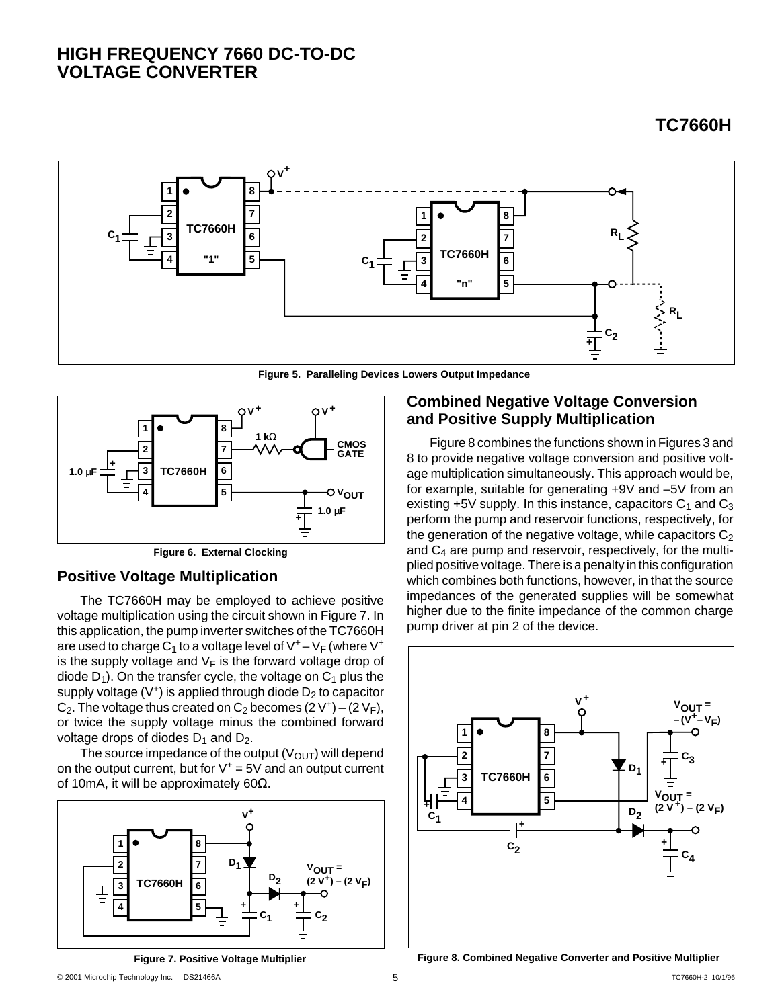

**Figure 5. Paralleling Devices Lowers Output Impedance**



**Figure 6. External Clocking**

#### **Positive Voltage Multiplication**

The TC7660H may be employed to achieve positive voltage multiplication using the circuit shown in Figure 7. In this application, the pump inverter switches of the TC7660H are used to charge  $C_1$  to a voltage level of  $V^+ - V_F$  (where  $V^+$ is the supply voltage and  $V_F$  is the forward voltage drop of diode  $D_1$ ). On the transfer cycle, the voltage on  $C_1$  plus the supply voltage  $(V^+)$  is applied through diode  $D_2$  to capacitor  $C_2$ . The voltage thus created on  $C_2$  becomes  $(2 V^+)$  –  $(2 V_F)$ , or twice the supply voltage minus the combined forward voltage drops of diodes  $D_1$  and  $D_2$ .

The source impedance of the output  $(V<sub>OUT</sub>)$  will depend on the output current, but for  $V^+$  = 5V and an output current of 10mA, it will be approximately 60Ω.



**Figure 7. Positive Voltage Multiplier**

### **Combined Negative Voltage Conversion and Positive Supply Multiplication**

Figure 8 combines the functions shown in Figures 3 and 8 to provide negative voltage conversion and positive voltage multiplication simultaneously. This approach would be, for example, suitable for generating +9V and –5V from an existing  $+5V$  supply. In this instance, capacitors  $C_1$  and  $C_3$ perform the pump and reservoir functions, respectively, for the generation of the negative voltage, while capacitors  $C_2$ and  $C_4$  are pump and reservoir, respectively, for the multiplied positive voltage. There is a penalty in this configuration which combines both functions, however, in that the source impedances of the generated supplies will be somewhat higher due to the finite impedance of the common charge pump driver at pin 2 of the device.



**Figure 8. Combined Negative Converter and Positive Multiplier**

**TC7660H**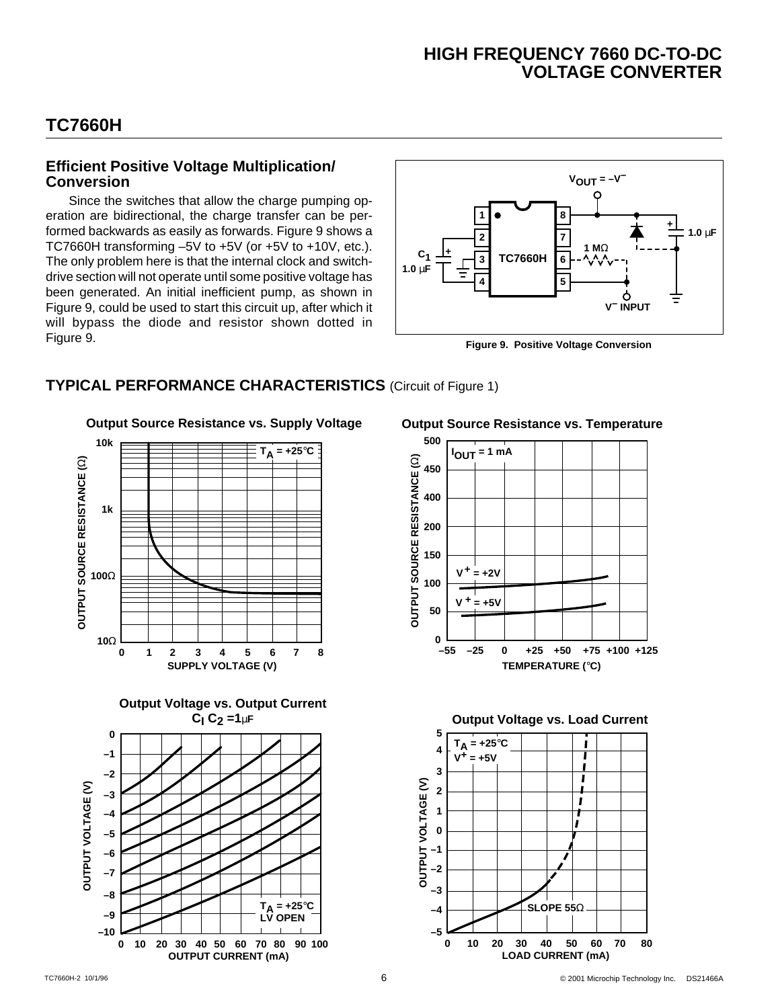# **TC7660H**

#### **Efficient Positive Voltage Multiplication/ Conversion**

Since the switches that allow the charge pumping operation are bidirectional, the charge transfer can be performed backwards as easily as forwards. Figure 9 shows a TC7660H transforming –5V to +5V (or +5V to +10V, etc.). The only problem here is that the internal clock and switchdrive section will not operate until some positive voltage has been generated. An initial inefficient pump, as shown in Figure 9, could be used to start this circuit up, after which it will bypass the diode and resistor shown dotted in Figure 9.



**Figure 9. Positive Voltage Conversion**

### **TYPICAL PERFORMANCE CHARACTERISTICS** (Circuit of Figure 1)

**Output Source Resistance vs. Supply Voltage**







**Output Source Resistance vs. Temperature**





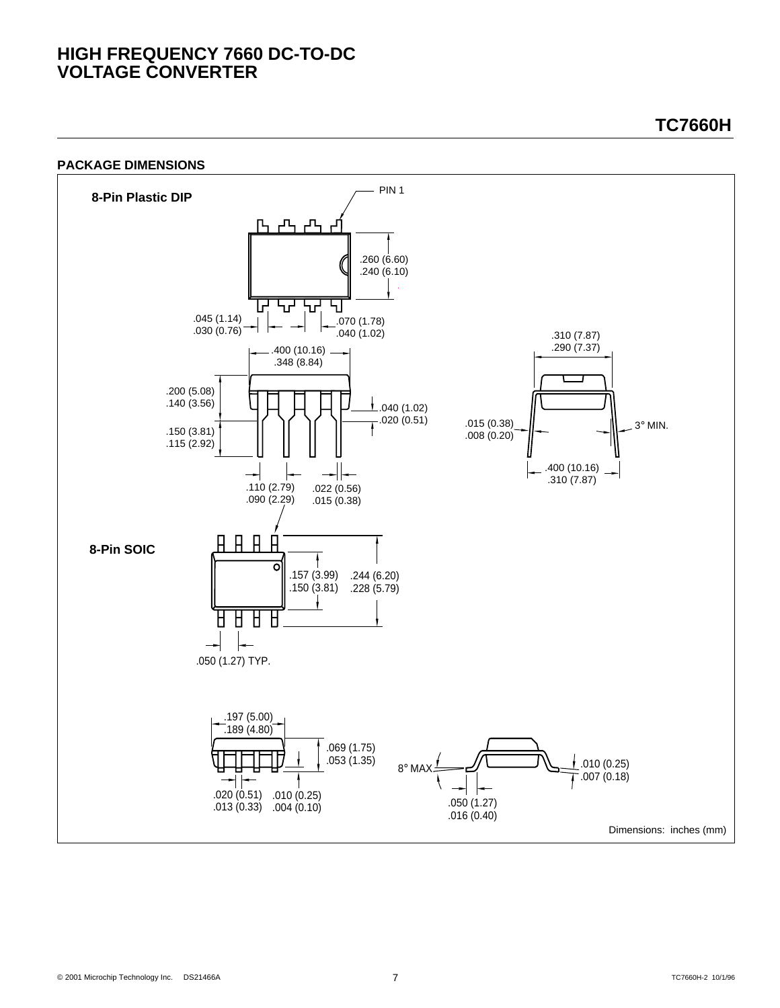#### **PACKAGE DIMENSIONS**



**TC7660H**